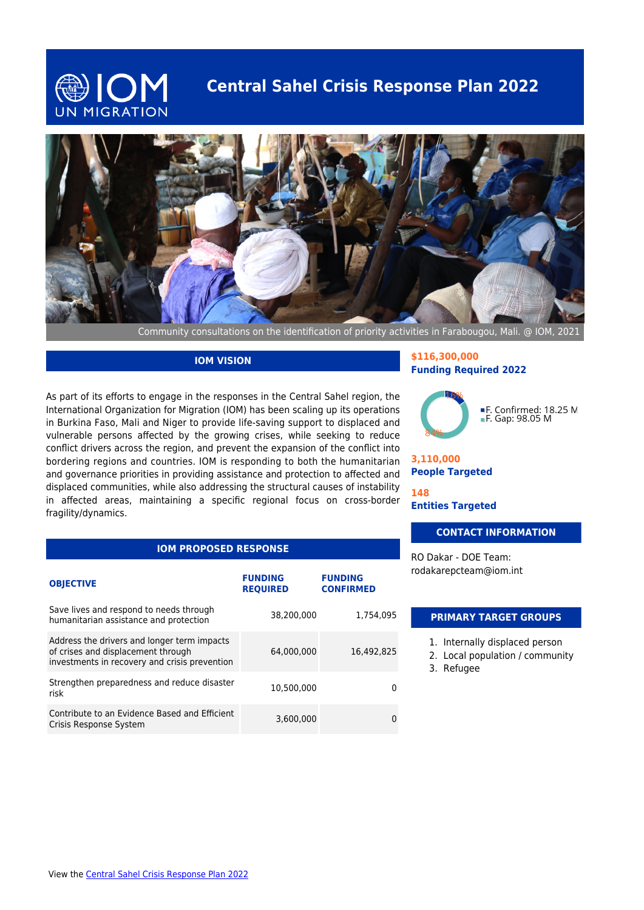

## **Central Sahel Crisis Response Plan 2022**



Community consultations on the identification of priority activities in Farabougou, Mali. @ IOM, 2021

#### **IOM VISION**

As part of its efforts to engage in the responses in the Central Sahel region, the International Organization for Migration (IOM) has been scaling up its operations in Burkina Faso, Mali and Niger to provide life-saving support to displaced and vulnerable persons affected by the growing crises, while seeking to reduce conflict drivers across the region, and prevent the expansion of the conflict into bordering regions and countries. IOM is responding to both the humanitarian and governance priorities in providing assistance and protection to affected and displaced communities, while also addressing the structural causes of instability in affected areas, maintaining a specific regional focus on cross-border fragility/dynamics.

#### **\$116,300,000 Funding Required 2022**



**3,110,000 People Targeted**

**148 Entities Targeted**

#### **CONTACT INFORMATION**

RO Dakar - DOE Team: rodakarepcteam@iom.int

#### **IOM PROPOSED RESPONSE**

| <b>OBJECTIVE</b>                                                                                                                   | <b>FUNDING</b><br><b>REQUIRED</b> | <b>FUNDING</b><br><b>CONFIRMED</b> |
|------------------------------------------------------------------------------------------------------------------------------------|-----------------------------------|------------------------------------|
| Save lives and respond to needs through<br>humanitarian assistance and protection                                                  | 38.200.000                        | 1,754,095                          |
| Address the drivers and longer term impacts<br>of crises and displacement through<br>investments in recovery and crisis prevention | 64.000.000                        | 16.492.825                         |
| Strengthen preparedness and reduce disaster<br>risk                                                                                | 10.500.000                        |                                    |
| Contribute to an Evidence Based and Efficient<br>Crisis Response System                                                            | 3,600,000                         |                                    |

### **PRIMARY TARGET GROUPS**

- 1. Internally displaced person
- 2. Local population / community
- 3. Refugee